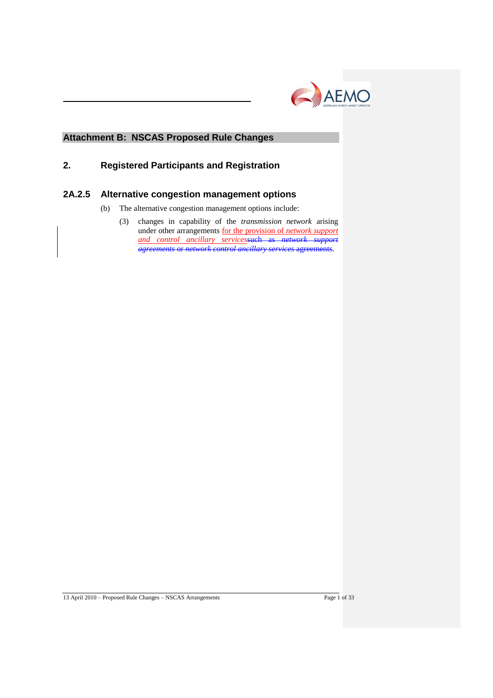

## **Attachment B: NSCAS Proposed Rule Changes**

## **2. Registered Participants and Registration**

## **2A.2.5 Alternative congestion management options**

- (b) The alternative congestion management options include:
	- (3) changes in capability of the *transmission network* arising under other arrangements for the provision of *network support and control ancillary services*such as *network support agreements* or *network control ancillary services* agreements.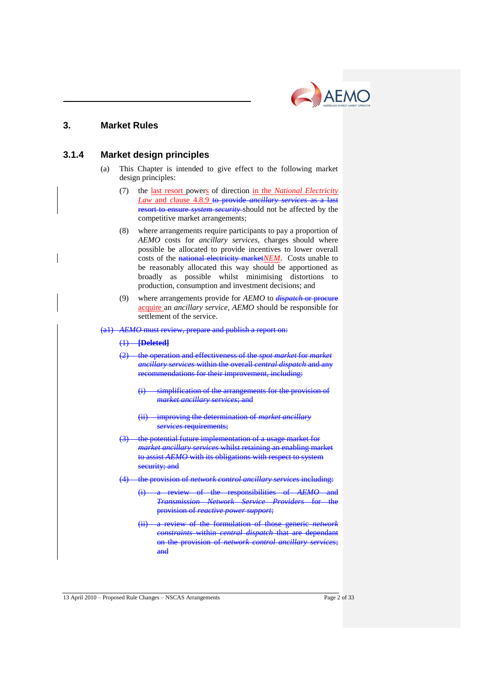

## **3. Market Rules**

### **3.1.4 Market design principles**

- (a) This Chapter is intended to give effect to the following market design principles:
	- (7) the last resort powers of direction in the *National Electricity Law* and clause 4.8.9 to provide *ancillary services* as a last resort to ensure *system security* should not be affected by the competitive market arrangements;
	- (8) where arrangements require participants to pay a proportion of *AEMO* costs for *ancillary services*, charges should where possible be allocated to provide incentives to lower overall costs of the national electricity market*NEM*. Costs unable to be reasonably allocated this way should be apportioned as broadly as possible whilst minimising distortions to production, consumption and investment decisions; and
	- (9) where arrangements provide for *AEMO* to *dispatch* or procure acquire an *ancillary service*, *AEMO* should be responsible for settlement of the service.

#### (a1) *AEMO* must review, prepare and publish a report on:

#### (1) **[Deleted]**

- (2) the operation and effectiveness of the *spot market* for *market ancillary services* within the overall *central dispatch* and any recommendations for their improvement, including:
	- (i) simplification of the arrangements for the provision of *market ancillary services*; and
	- improving the determination of *market ancillary services* requirements;
- the potential future implementation of a usage market for *market ancillary services* whilst retaining an enabling market to assist *AEMO* with its obligations with respect to system security; and
- (4) the provision of *network control ancillary services* including:
	- (i) a review of the responsibilities of *AEMO* and *Transmission Network Service Providers* for the provision of *reactive power support*;
	- (ii) a review of the formulation of those generic *network constraints* within *central dispatch* that are dependant on the provision of *network control ancillary services*; and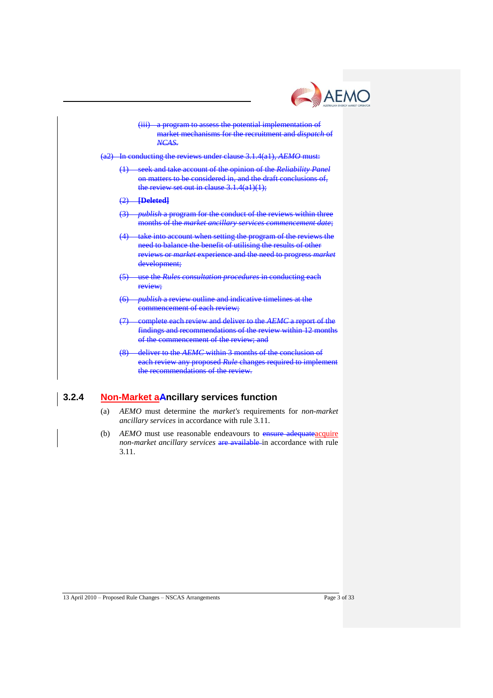



each review any proposed *Rule* changes required to implement the recommendations of the review.

## **3.2.4 Non-Market aAncillary services function**

- (a) *AEMO* must determine the *market's* requirements for *non-market ancillary services* in accordance with rule 3.11.
- (b) *AEMO* must use reasonable endeavours to ensure adequate acquire *non-market ancillary services* are available in accordance with rule 3.11.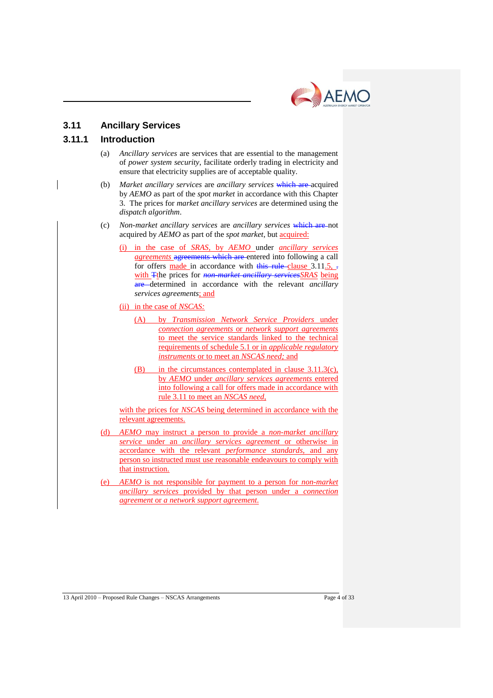

# **3.11 Ancillary Services**

## **3.11.1 Introduction**

- (a) *Ancillary services* are services that are essential to the management of *power system security*, facilitate orderly trading in electricity and ensure that electricity supplies are of acceptable quality.
- (b) *Market ancillary services* are *ancillary services* which are acquired by *AEMO* as part of the *spot market* in accordance with this Chapter 3. The prices for *market ancillary services* are determined using the *dispatch algorithm*.
- (c) *Non-market ancillary services* are *ancillary services* which are not acquired by *AEMO* as part of the *spot market*, but acquired:
	- (i) in the case of *SRAS,* by *AEMO* under *ancillary services agreements* agreements which are entered into following a call for offers made in accordance with this rule clause  $3.11.5$ ,  $\overline{.}$ with Tthe prices for *non-market ancillary servicesSRAS* being are determined in accordance with the relevant *ancillary services agreements*; and
	- (ii) in the case of *NSCAS:*
		- (A) by *Transmission Network Service Providers* under *connection agreements* or *network support agreements* to meet the service standards linked to the technical requirements of schedule 5.1 or in *applicable regulatory instruments* or to meet an *NSCAS need;* and
		- (B) in the circumstances contemplated in clause 3.11.3(c), by *AEMO* under *ancillary services agreements* entered into following a call for offers made in accordance with rule 3.11 to meet an *NSCAS need*,

with the prices for *NSCAS* being determined in accordance with the relevant agreements.

- (d) *AEMO* may instruct a person to provide a *non-market ancillary service* under an *ancillary services agreement* or otherwise in accordance with the relevant *performance standards*, and any person so instructed must use reasonable endeavours to comply with that instruction.
- (e) *AEMO* is not responsible for payment to a person for *non-market ancillary services* provided by that person under a *connection agreement* or *a network support agreement.*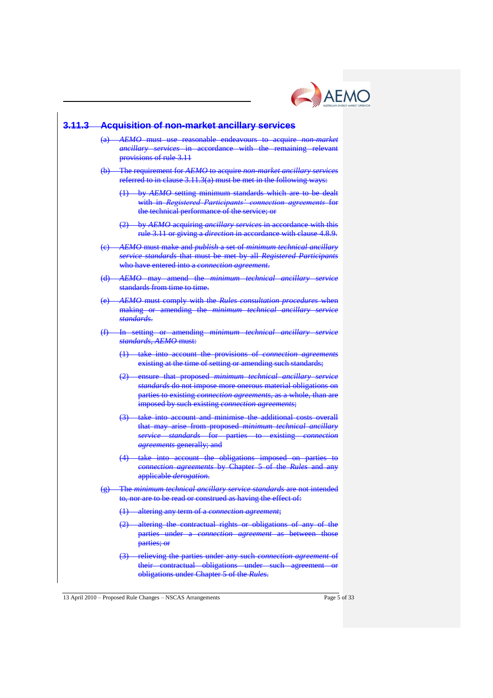

| 3.11.3 | <b>Acquisition of non-market ancillary services</b> |                                                                                                                                                                                                                                                    |  |  |  |  |
|--------|-----------------------------------------------------|----------------------------------------------------------------------------------------------------------------------------------------------------------------------------------------------------------------------------------------------------|--|--|--|--|
|        |                                                     | (a) AEMO must use reasonable endeavours to acquire non market<br>ancillary services in accordance with the remaining relevant<br>provisions of rule 3.11                                                                                           |  |  |  |  |
|        |                                                     | (b) The requirement for AEMO to acquire non-market ancillary services<br>referred to in clause 3.11.3(a) must be met in the following ways:                                                                                                        |  |  |  |  |
|        |                                                     | (1) by AEMO setting minimum standards which are to be dealt<br>with in Registered Participants' connection agreements for<br>the technical performance of the service; or                                                                          |  |  |  |  |
|        |                                                     | (2) by AEMO acquiring ancillary services in accordance with this<br>rule 3.11 or giving a direction in accordance with clause 4.8.9.                                                                                                               |  |  |  |  |
|        |                                                     | AEMO must make and <i>publish</i> a set of minimum technical ancillary<br>service standards that must be met by all Registered Participants<br>who have entered into a connection agreement.                                                       |  |  |  |  |
|        | <del>(d)</del>                                      | AEMO may amend the minimum technical ancillary service<br>standards from time to time.                                                                                                                                                             |  |  |  |  |
|        |                                                     | (e) AEMO must comply with the Rules consultation procedures when<br>making or amending the minimum technical ancillary service<br>standards.                                                                                                       |  |  |  |  |
|        |                                                     | (f) In setting or amending minimum technical ancillary service<br>standards, AEMO must:                                                                                                                                                            |  |  |  |  |
|        |                                                     | (1) take into account the provisions of connection agreements<br>existing at the time of setting or amending such standards;                                                                                                                       |  |  |  |  |
|        |                                                     | (2) ensure that proposed minimum technical ancillary service<br>standards do not impose more onerous material obligations on<br>parties to existing connection agreements, as a whole, than are<br>imposed by such existing connection agreements; |  |  |  |  |
|        |                                                     | (3) take into account and minimise the additional costs overall<br>that may arise from proposed minimum technical ancillary<br>service standards for parties to existing connection<br>agreements generally; and                                   |  |  |  |  |
|        |                                                     | (4) take into account the obligations imposed on parties to<br>connection agreements by Chapter 5 of the Rules and any<br>applicable <i>derogation</i> .                                                                                           |  |  |  |  |
|        |                                                     | (g) The minimum technical ancillary service standards are not intended<br>to, nor are to be read or construed as having the effect of:                                                                                                             |  |  |  |  |
|        |                                                     | (1) altering any term of a connection agreement;                                                                                                                                                                                                   |  |  |  |  |
|        |                                                     | (2) altering the contractual rights or obligations of any of the<br>parties under a <i>connection agreement</i> as between those<br>parties; or                                                                                                    |  |  |  |  |
|        |                                                     | (3) relieving the parties under any such connection agreement of<br>their contractual obligations under such agreement or<br>obligations under Chapter 5 of the Rules.                                                                             |  |  |  |  |

13 April 2010 – Proposed Rule Changes – NSCAS Arrangements Page 5 of 33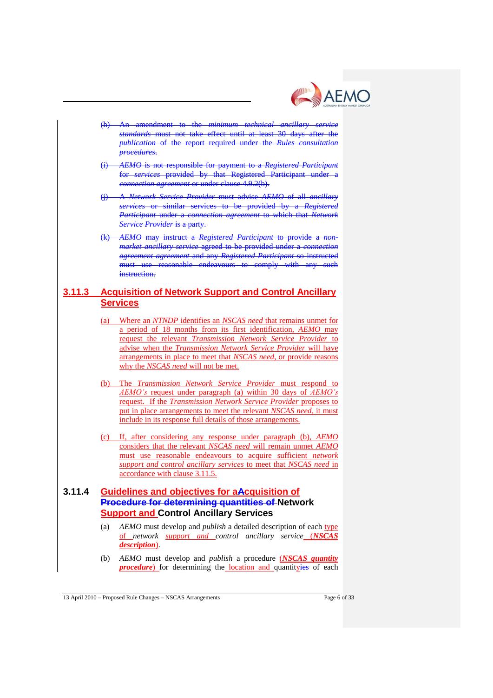

- (h) An amendment to the *minimum technical ancillary service standards* must not take effect until at least 30 days after the *publication* of the report required under the *Rules consultation procedures*.
- (i) *AEMO* is not responsible for payment to a *Registered Participant* for *services* provided by that Registered Participant under a *connection agreement* or under clause 4.9.2(b).
- (j) A *Network Service Provider* must advise *AEMO* of all *ancillary services* or similar services to be provided by a *Registered Participant* under a *connection agreement* to which that *Network Service Provider* is a party.
- (k) *AEMO* may instruct a *Registered Participant* to provide a *nonmarket ancillary service* agreed to be provided under a *connection agreement agreement* and any *Registered Participant* so instructed must use reasonable endeavours to comply with any such instruction.

## **3.11.3 Acquisition of Network Support and Control Ancillary Services**

- (a) Where an *NTNDP* identifies an *NSCAS need* that remains unmet for a period of 18 months from its first identification, *AEMO* may request the relevant *Transmission Network Service Provider* to advise when the *Transmission Network Service Provider* will have arrangements in place to meet that *NSCAS need*, or provide reasons why the *NSCAS need* will not be met.
- (b) The *Transmission Network Service Provider* must respond to *AEMO's* request under paragraph (a) within 30 days of *AEMO's* request. If the *Transmission Network Service Provider* proposes to put in place arrangements to meet the relevant *NSCAS need*, it must include in its response full details of those arrangements.
- (c) If, after considering any response under paragraph (b), *AEMO* considers that the relevant *NSCAS need* will remain unmet *AEMO* must use reasonable endeavours to acquire sufficient *network support and control ancillary services* to meet that *NSCAS need* in accordance with clause 3.11.5.

## **3.11.4 Guidelines and objectives for aAcquisition of Procedure for determining quantities of Network Support and Control Ancillary Services**

- (a) *AEMO* must develop and *publish* a detailed description of each type of *network support and control ancillary service* (*NSCAS description*).
- (b) *AEMO* must develop and *publish* a procedure (*NSCAS quantity procedure*) for determining the location and quantityies of each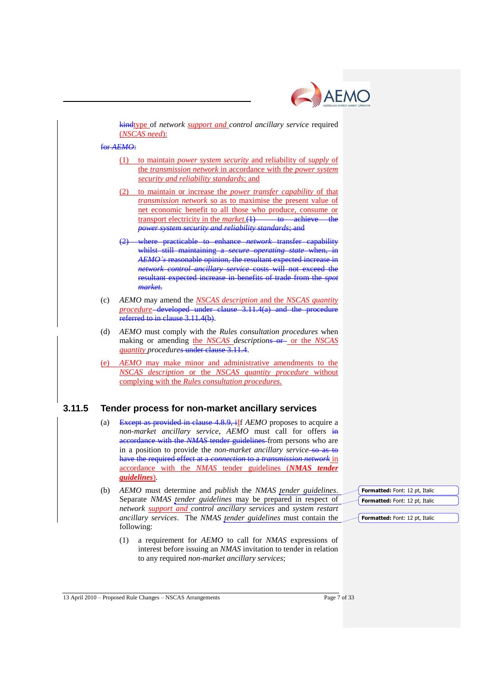

kindtype of *network support and control ancillary service* required (*NSCAS need*):

#### for *AEMO*:

- (1) to maintain *power system security* and reliability of *supply* of the *transmission network* in accordance with the *power system security and reliability standards*; and
- (2) to maintain or increase the *power transfer capability* of that *transmission network* so as to maximise the present value of net economic benefit to all those who produce, consume or transport electricity in the *market*.(1) to achieve the *power system security and reliability standards*; and
- (2) where practicable to enhance *network* transfer capability whilst still maintaining a *secure operating state* when, in *AEMO's* reasonable opinion, the resultant expected increase in *network control ancillary service* costs will not exceed the resultant expected increase in benefits of trade from the *spot market*.
- (c) *AEMO* may amend the *NSCAS description* and the *NSCAS quantity procedure* developed under clause 3.11.4(a) and the procedure referred to in clause 3.11.4(b).
- (d) *AEMO* must comply with the *Rules consultation procedures* when making or amending the *NSCAS descriptions* or or the *NSCAS quantity procedures* under clause 3.11.4.
- (e) *AEMO* may make minor and administrative amendments to the *NSCAS description* or the *NSCAS quantity procedure* without complying with the *Rules consultation procedures.*

## **3.11.5 Tender process for non-market ancillary services**

- (a) Except as provided in clause 4.8.9, iIf *AEMO* proposes to acquire a *non-market ancillary service*, *AEMO* must call for offers in accordance with the *NMAS* tender guidelines from persons who are in a position to provide the *non-market ancillary service*-so as to have the required effect at a *connection* to a *transmission network* in accordance with the *NMAS* tender guidelines (*NMAS tender guidelines*).
- (b) *AEMO* must determine and *publish* the *NMAS tender guidelines*. Separate *NMAS tender guidelines* may be prepared in respect of *network support and control ancillary services* and *system restart ancillary services*. The *NMAS tender guidelines* must contain the following:
	- (1) a requirement for *AEMO* to call for *NMAS* expressions of interest before issuing an *NMAS* invitation to tender in relation to any required *non-market ancillary services*;

**Formatted:** Font: 12 pt, Italic **Formatted:** Font: 12 pt, Italic

**Formatted:** Font: 12 pt, Italic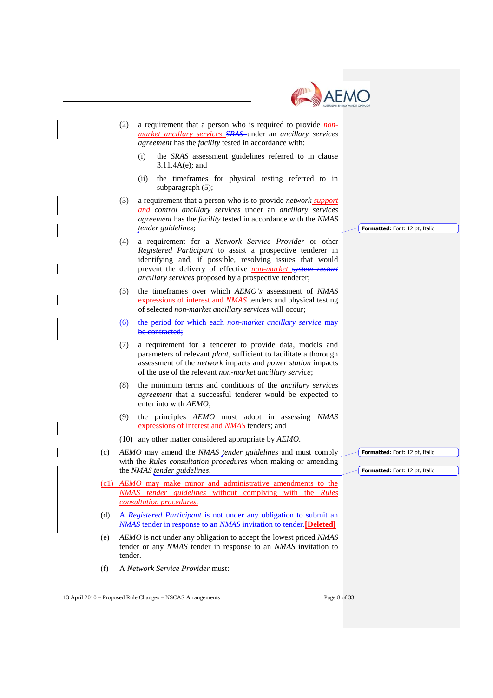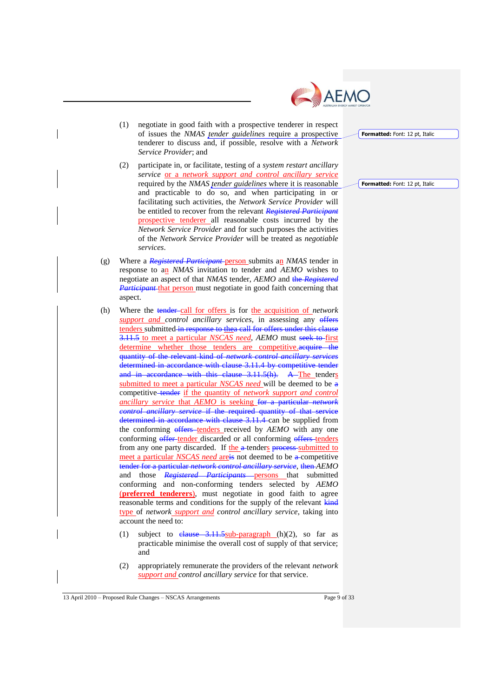

- (1) negotiate in good faith with a prospective tenderer in respect of issues the *NMAS tender guidelines* require a prospective tenderer to discuss and, if possible, resolve with a *Network Service Provider*; and
- (2) participate in, or facilitate, testing of a *system restart ancillary service* or a *network support and control ancillary service* required by the *NMAS tender guidelines* where it is reasonable and practicable to do so, and when participating in or facilitating such activities, the *Network Service Provider* will be entitled to recover from the relevant *Registered Participant* prospective tenderer all reasonable costs incurred by the *Network Service Provider* and for such purposes the activities of the *Network Service Provider* will be treated as *negotiable services*.
- (g) Where a *Registered Participant* person submits an *NMAS* tender in response to an *NMAS* invitation to tender and *AEMO* wishes to negotiate an aspect of that *NMAS* tender, *AEMO* and the *Registered Participant* that person must negotiate in good faith concerning that aspect.
- (h) Where the tender call for offers is for the acquisition of *network support and control ancillary services*, in assessing any offers tenders submitted in response to thea call for offers under this clause 3.11.5 to meet a particular *NSCAS need*, *AEMO* must seek to first determine whether those tenders are competitive.acquire the quantity of the relevant kind of *network control ancillary services* determined in accordance with clause 3.11.4 by competitive tender and in accordance with this clause 3.11.5(h). A The tenders submitted to meet a particular *NSCAS need* will be deemed to be a competitive tender if the quantity of *network support and control ancillary service* that *AEMO* is seeking for a particular *network control ancillary service* if the required quantity of that service determined in accordance with clause 3.11.4 can be supplied from the conforming offers tenders received by AEMO with any one conforming offer tender discarded or all conforming offers tenders from any one party discarded. If the a-tenders process-submitted to meet a particular *NSCAS need* are is not deemed to be a competitive tender for a particular *network control ancillary service*, then *AEMO* and those *Registered Participants* persons that submitted conforming and non-conforming tenders selected by *AEMO* (**preferred tenderers**), must negotiate in good faith to agree reasonable terms and conditions for the supply of the relevant kind type of *network support and control ancillary service*, taking into account the need to:
	- (1) subject to  $elause -3.11.5sub-paragnph (h)(2)$ , so far as practicable minimise the overall cost of supply of that service; and
	- (2) appropriately remunerate the providers of the relevant *network support and control ancillary service* for that service.

13 April 2010 – Proposed Rule Changes – NSCAS Arrangements Page 9 of 33

**Formatted:** Font: 12 pt, Italic

**Formatted:** Font: 12 pt, Italic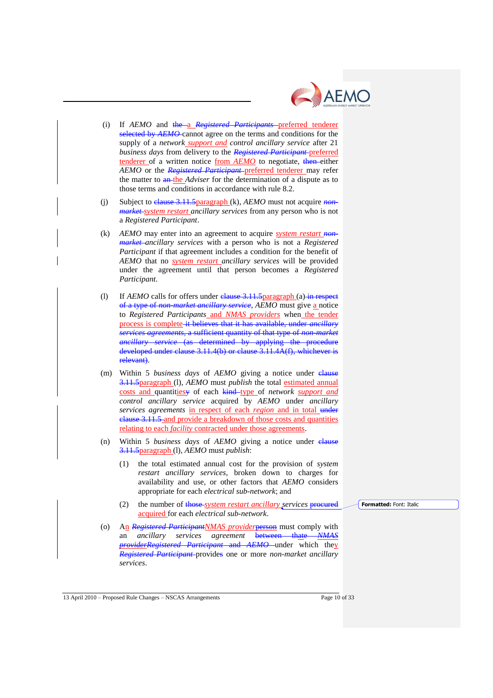

- (i) If *AEMO* and the a *Registered Participants* preferred tenderer selected by *AEMO*-cannot agree on the terms and conditions for the supply of a *network support and control ancillary service* after 21 *business days* from delivery to the *Registered Participant* preferred tenderer of a written notice from *AEMO* to negotiate, then either *AEMO* or the *Registered Participant* preferred tenderer may refer the matter to an the *Adviser* for the determination of a dispute as to those terms and conditions in accordance with rule 8.2.
- (j) Subject to clause 3.11.5paragraph (k), *AEMO* must not acquire *nonmarket system restart ancillary services* from any person who is not a *Registered Participant*.
- (k) *AEMO* may enter into an agreement to acquire *system restart nonmarket ancillary services* with a person who is not a *Registered Participant* if that agreement includes a condition for the benefit of *AEMO* that no *system restart ancillary services* will be provided under the agreement until that person becomes a *Registered Participant*.
- (l) If *AEMO* calls for offers under clause 3.11.5 paragraph (a) in respect of a type of *non-market ancillary service*, *AEMO* must give a notice to *Registered Participants* and *NMAS providers* when the tender process is complete it believes that it has available, under *ancillary services agreements*, a sufficient quantity of that type of *non-market ancillary service* (as determined by applying the procedure developed under clause 3.11.4(b) or clause 3.11.4A(f), whichever is relevant).
- (m) Within 5 *business days* of *AEMO* giving a notice under clause 3.11.5paragraph (l), *AEMO* must *publish* the total estimated annual costs and quantitiesy of each kind type of *network support and control ancillary service* acquired by *AEMO* under *ancillary services agreements* in respect of each *region* and in total under clause 3.11.5 and provide a breakdown of those costs and quantities relating to each *facility* contracted under those agreements.
- (n) Within 5 *business days* of *AEMO* giving a notice under clause 3.11.5paragraph (l), *AEMO* must *publish*:
	- (1) the total estimated annual cost for the provision of *system restart ancillary services*, broken down to charges for availability and use, or other factors that *AEMO* considers appropriate for each *electrical sub-network*; and
	- (2) the number of those *system restart ancillary services* procured acquired for each *electrical sub-network*.

**Formatted:** Font: Italic

(o) An *Registered ParticipantNMAS provider*person must comply with an *ancillary services agreement* between thate *NMAS providerRegistered Participant* and *AEMO* under which they *Registered Participant* provides one or more *non-market ancillary services*.

13 April 2010 – Proposed Rule Changes – NSCAS Arrangements Page 10 of 33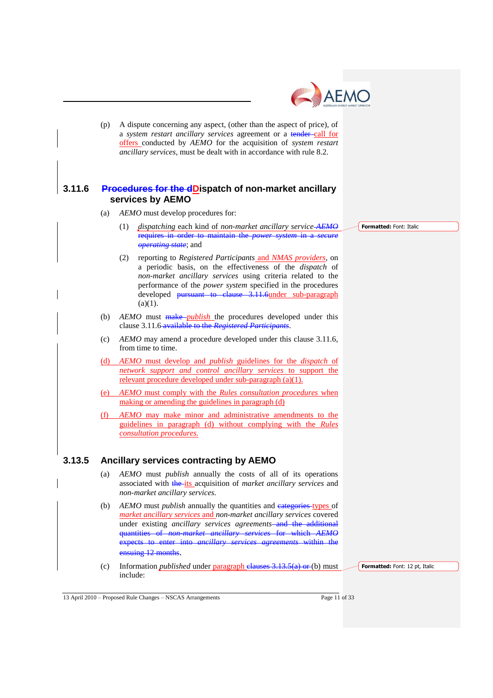

(p) A dispute concerning any aspect, (other than the aspect of price), of a *system restart ancillary services* agreement or a tender call for offers conducted by *AEMO* for the acquisition of *system restart ancillary services*, must be dealt with in accordance with rule 8.2.

### **3.11.6 Procedures for the dDispatch of non-market ancillary services by AEMO**

- (a) *AEMO* must develop procedures for:
	- (1) *dispatching* each kind of *non-market ancillary service AEMO* requires in order to maintain the *power system* in a *secure operating state*; and
	- (2) reporting to *Registered Participants* and *NMAS providers*, on a periodic basis, on the effectiveness of the *dispatch* of *non-market ancillary services* using criteria related to the performance of the *power system* specified in the procedures developed pursuant to clause 3.11.6under sub-paragraph  $(a)(1)$ .
- (b) *AEMO* must make *publish* the procedures developed under this clause 3.11.6 available to the *Registered Participants*.
- (c) *AEMO* may amend a procedure developed under this clause 3.11.6, from time to time.
- (d) *AEMO* must develop and *publish* guidelines for the *dispatch* of *network support and control ancillary services* to support the relevant procedure developed under sub-paragraph (a)(1).
- (e) *AEMO* must comply with the *Rules consultation procedures* when making or amending the guidelines in paragraph (d)
- (f) *AEMO* may make minor and administrative amendments to the guidelines in paragraph (d) without complying with the *Rules consultation procedures.*

## **3.13.5 Ancillary services contracting by AEMO**

- (a) *AEMO* must *publish* annually the costs of all of its operations associated with the its acquisition of *market ancillary services* and *non-market ancillary services.*
- (b) *AEMO* must *publish* annually the quantities and categories types of *market ancillary services* and *non-market ancillary services* covered under existing *ancillary services agreements* and the additional quantities of *non-market ancillary services* for which *AEMO* expects to enter into *ancillary services agreements* within the ensuing 12 months.
- (c) Information *published* under paragraph clauses 3.13.5(a) or (b) must include:

**Formatted:** Font: 12 pt. Italic

13 April 2010 – Proposed Rule Changes – NSCAS Arrangements Page 11 of 33

**Formatted:** Font: Italic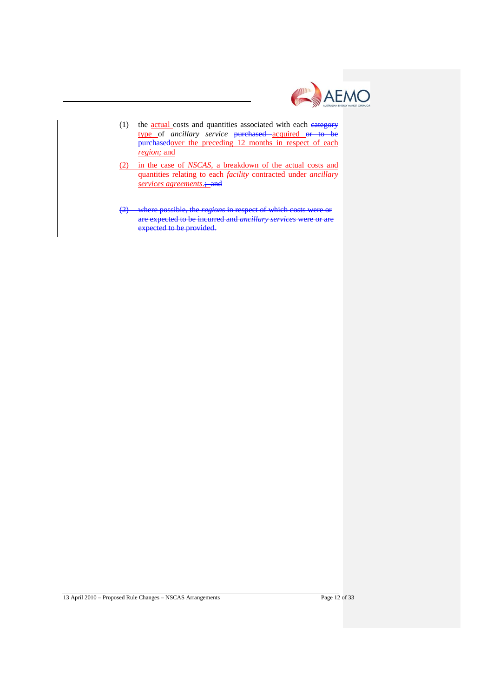

- (1) the **actual** costs and quantities associated with each eategory type of *ancillary service* purchased acquired or to be purchasedover the preceding 12 months in respect of each *region;* and
- (2) in the case of *NSCAS*, a breakdown of the actual costs and quantities relating to each *facility* contracted under *ancillary services agreements*.; and
- (2) where possible, the *regions* in respect of which costs were or are expected to be incurred and *ancillary services* were expected to be provided.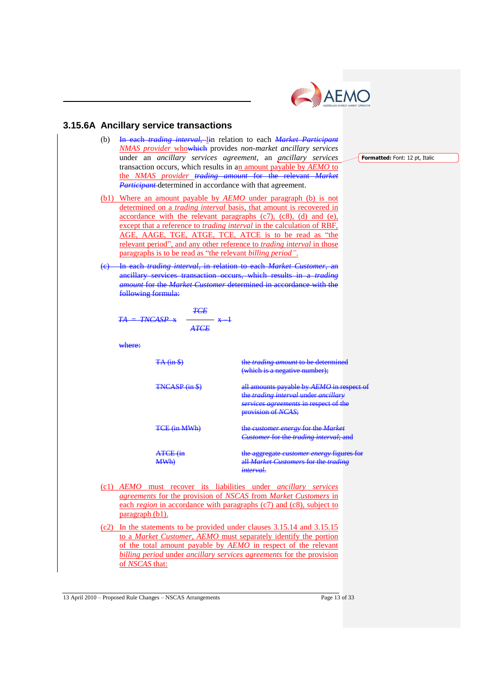

## **3.15.6A Ancillary service transactions**

- (b) In each *trading interval,* Iin relation to each *Market Participant NMAS provider* whowhich provides *non-market ancillary services*  under an *ancillary services agreement,* an *ancillary services*  transaction occurs, which results in an amount payable by *AEMO* to the *NMAS provider trading amount* for the relevant *Market Participant* determined in accordance with that agreement.
- (b1) Where an amount payable by *AEMO* under paragraph (b) is not determined on a *trading interval* basis, that amount is recovered in accordance with the relevant paragraphs (c7), (c8), (d) and (e), except that a reference to *trading interval* in the calculation of RBF, AGE, AAGE, TGE, ATGE, TCE, ATCE is to be read as "the relevant period", and any other reference to *trading interval* in those paragraphs is to be read as "the relevant *billing period"*.
- (c) In each *trading interval*, in relation to each *Market Customer*, an ancillary services transaction occurs, which results in a *trading amount* for the *Market Customer* determined in accordance with the following formula:

 $x -$ 

$$
\frac{TE}{TNCASP \times \overline{ATE}}
$$

where:

 $TA$ 

TA (in \$) the *trading amount* to be determined (which is a negative number); TNCASP (in \$) all amounts payable by *AEMO* in respect the *trading interval* under *ancillary services agreements* in respect of the provision of *NCAS*; TCE (in MWh) the *customer energy* for the *Market Customer* for the *trading interval*; and ATCE (in MWh) the aggregate *customer energy* figures for all *Market Customers* for the *trading interval*. (c1) *AEMO* must recover its liabilities under *ancillary services agreements* for the provision of *NSCAS* from *Market Customers* in each *region* in accordance with paragraphs (c7) and (c8), subject to paragraph (b1).

(c2) In the statements to be provided under clauses 3.15.14 and 3.15.15 to a *Market Customer*, *AEMO* must separately identify the portion of the total amount payable by *AEMO* in respect of the relevant *billing period* under *ancillary services agreements* for the provision of *NSCAS* that:

13 April 2010 – Proposed Rule Changes – NSCAS Arrangements Page 13 of 33

**Formatted:** Font: 12 pt, Italic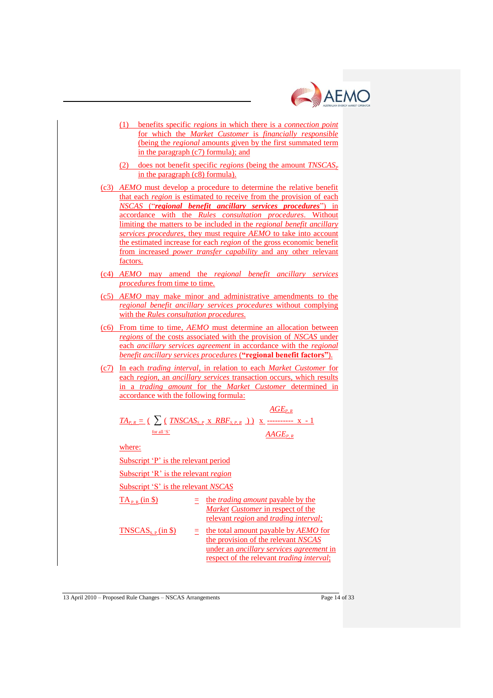

- (1) benefits specific *regions* in which there is a *connection point* for which the *Market Customer* is *financially responsible* (being the *regional* amounts given by the first summated term in the paragraph (c7) formula); and
- (2) does not benefit specific *regions* (being the amount  $TNSCAS<sub>p</sub>$ in the paragraph (c8) formula).
- (c3) *AEMO* must develop a procedure to determine the relative benefit that each *region* is estimated to receive from the provision of each *NSCAS* ("*regional benefit ancillary services procedures*") in accordance with the *Rules consultation procedures*. Without limiting the matters to be included in the *regional benefit ancillary services procedures,* they must require *AEMO* to take into account the estimated increase for each *region* of the gross economic benefit from increased *power transfer capability* and any other relevant factors.
- (c4) *AEMO* may amend the *regional benefit ancillary services procedures* from time to time.
- (c5) *AEMO* may make minor and administrative amendments to the *regional benefit ancillary services procedures* without complying with the *Rules consultation procedures.*
- (c6) From time to time, *AEMO* must determine an allocation between *regions* of the costs associated with the provision of *NSCAS* under each *ancillary services agreement* in accordance with the *regional benefit ancillary services procedures* (**"regional benefit factors"**)*.*
- (c7) In each *trading interval*, in relation to each *Market Customer* for each *region*, an *ancillary services* transaction occurs, which results in a *trading amount* for the *Market Customer* determined in accordance with the following formula:

 $ACF$ 

*TAP, R* = ( ∑ ( *TNSCASS, P* x *RBFS, P, R* ) ) x ---------- x - 1 for all "S"  *AAGEP, R*

where:

Subscript 'P' is the relevant period

Subscript "R" is the relevant *region*

Subscript "S" is the relevant *NSCAS*

| $TA_{P,R}$ (in \$)           | $\equiv$ the <i>trading amount</i> payable by the<br>Market Customer in respect of the<br>relevant <i>region</i> and <i>trading interval</i> ;                                      |  |
|------------------------------|-------------------------------------------------------------------------------------------------------------------------------------------------------------------------------------|--|
| TNSCAS <sub>s.P</sub> (in §) | the total amount payable by AEMO for<br>the provision of the relevant NSCAS<br>under an <i>ancillary services agreement</i> in<br>respect of the relevant <i>trading interval</i> ; |  |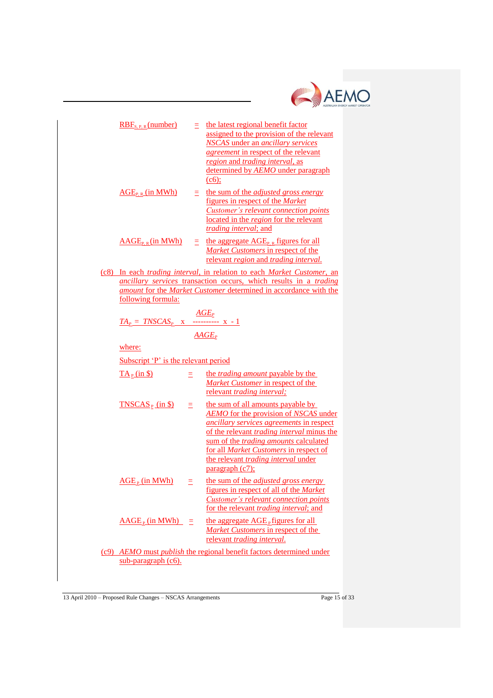

| $RBF_{S.P.R}$ (number)                                                                                                                                                                                                                                                                        | Ξ.  | the latest regional benefit factor<br>assigned to the provision of the relevant<br><b>NSCAS</b> under an <i>ancillary services</i><br><i>agreement</i> in respect of the relevant<br>region and trading interval, as<br>determined by AEMO under paragraph<br>(c6);                                                                       |  |  |  |  |
|-----------------------------------------------------------------------------------------------------------------------------------------------------------------------------------------------------------------------------------------------------------------------------------------------|-----|-------------------------------------------------------------------------------------------------------------------------------------------------------------------------------------------------------------------------------------------------------------------------------------------------------------------------------------------|--|--|--|--|
| $\overline{\text{AGE}}_{P, R}$ (in MWh)                                                                                                                                                                                                                                                       | Ξ.  | the sum of the <i>adjusted gross energy</i><br>figures in respect of the Market<br>Customer's relevant connection points<br>located in the region for the relevant<br><i>trading interval; and</i>                                                                                                                                        |  |  |  |  |
| $\widehat{AAGE}_{P, R}$ (in MWh)                                                                                                                                                                                                                                                              |     | $\equiv$ the aggregate AGE <sub>P, R</sub> figures for all<br>Market Customers in respect of the<br>relevant region and trading interval.                                                                                                                                                                                                 |  |  |  |  |
| (c8) In each trading interval, in relation to each Market Customer, an<br>ancillary services transaction occurs, which results in a trading<br>amount for the Market Customer determined in accordance with the<br>following formula:<br>$\frac{AGE_P}{TA_P = TNSCAS_P X}$ x ---------- x - 1 |     |                                                                                                                                                                                                                                                                                                                                           |  |  |  |  |
|                                                                                                                                                                                                                                                                                               |     |                                                                                                                                                                                                                                                                                                                                           |  |  |  |  |
| $AAGE_P$                                                                                                                                                                                                                                                                                      |     |                                                                                                                                                                                                                                                                                                                                           |  |  |  |  |
| where:<br>Subscript 'P' is the relevant period                                                                                                                                                                                                                                                |     |                                                                                                                                                                                                                                                                                                                                           |  |  |  |  |
|                                                                                                                                                                                                                                                                                               |     |                                                                                                                                                                                                                                                                                                                                           |  |  |  |  |
| $T AP$ (in \$)                                                                                                                                                                                                                                                                                | Ξ   | the <i>trading amount</i> payable by the<br>Market Customer in respect of the<br>relevant trading interval;                                                                                                                                                                                                                               |  |  |  |  |
| $TNSCAS_{P}$ (in \$)                                                                                                                                                                                                                                                                          | Ξ   | the sum of all amounts payable by<br><b>AEMO</b> for the provision of NSCAS under<br>ancillary services agreements in respect<br>of the relevant <i>trading interval</i> minus the<br>sum of the <i>trading amounts</i> calculated<br>for all Market Customers in respect of<br>the relevant trading interval under<br>paragraph $(c7)$ ; |  |  |  |  |
| $\overline{AGE_P}$ (in MWh)                                                                                                                                                                                                                                                                   | Ξ   | the sum of the <i>adjusted gross energy</i><br>figures in respect of all of the Market<br><b>Customer's relevant connection points</b><br>for the relevant <i>trading interval</i> ; and                                                                                                                                                  |  |  |  |  |
| $\widehat{AAGE}_P$ (in MWh)                                                                                                                                                                                                                                                                   | $=$ | the aggregate $\overline{AGE}_P$ figures for all<br>Market Customers in respect of the<br>relevant trading interval.                                                                                                                                                                                                                      |  |  |  |  |
|                                                                                                                                                                                                                                                                                               |     | (c9) AEMO must publish the regional benefit factors determined under                                                                                                                                                                                                                                                                      |  |  |  |  |
| sub-paragraph (c6).                                                                                                                                                                                                                                                                           |     |                                                                                                                                                                                                                                                                                                                                           |  |  |  |  |

13 April 2010 – Proposed Rule Changes – NSCAS Arrangements Page 15 of 33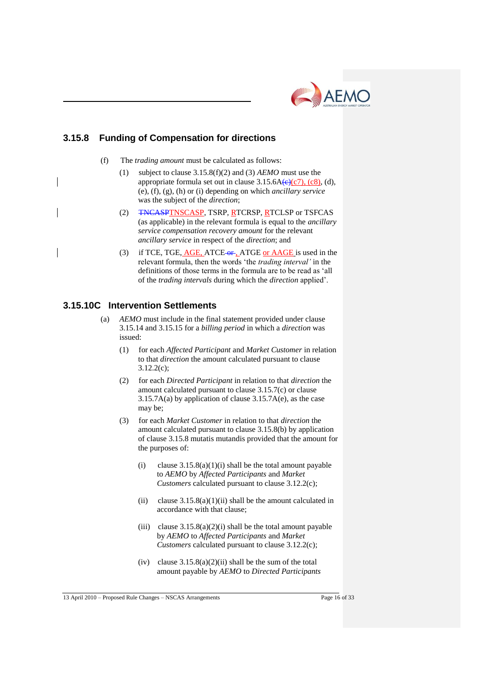

## **3.15.8 Funding of Compensation for directions**

- (f) The *trading amount* must be calculated as follows:
	- (1) subject to clause 3.15.8(f)(2) and (3) *AEMO* must use the appropriate formula set out in clause  $3.15.6A(e)(c7)$ ,  $(c8)$ , (d), (e), (f), (g), (h) or (i) depending on which *ancillary service* was the subject of the *direction*;
	- (2) TNCASPTNSCASP, TSRP, RTCRSP, RTCLSP or TSFCAS (as applicable) in the relevant formula is equal to the *ancillary service compensation recovery amount* for the relevant *ancillary service* in respect of the *direction*; and
	- (3) if TCE, TGE, AGE, ATCE or, ATGE or AAGE is used in the relevant formula, then the words "the *trading interval'* in the definitions of those terms in the formula are to be read as "all of the *trading intervals* during which the *direction* applied".

## **3.15.10C Intervention Settlements**

- (a) *AEMO* must include in the final statement provided under clause 3.15.14 and 3.15.15 for a *billing period* in which a *direction* was issued:
	- (1) for each *Affected Participant* and *Market Customer* in relation to that *direction* the amount calculated pursuant to clause 3.12.2(c);
	- (2) for each *Directed Participant* in relation to that *direction* the amount calculated pursuant to clause 3.15.7(c) or clause 3.15.7A(a) by application of clause 3.15.7A(e), as the case may be;
	- (3) for each *Market Customer* in relation to that *direction* the amount calculated pursuant to clause 3.15.8(b) by application of clause 3.15.8 mutatis mutandis provided that the amount for the purposes of:
		- (i) clause  $3.15.8(a)(1)(i)$  shall be the total amount payable to *AEMO* by *Affected Participants* and *Market Customers* calculated pursuant to clause 3.12.2(c);
		- (ii) clause  $3.15.8(a)(1)(ii)$  shall be the amount calculated in accordance with that clause;
		- (iii) clause  $3.15.8(a)(2)(i)$  shall be the total amount payable by *AEMO* to *Affected Participants* and *Market Customers* calculated pursuant to clause 3.12.2(c);
		- (iv) clause  $3.15.8(a)(2)(ii)$  shall be the sum of the total amount payable by *AEMO* to *Directed Participants*

13 April 2010 – Proposed Rule Changes – NSCAS Arrangements Page 16 of 33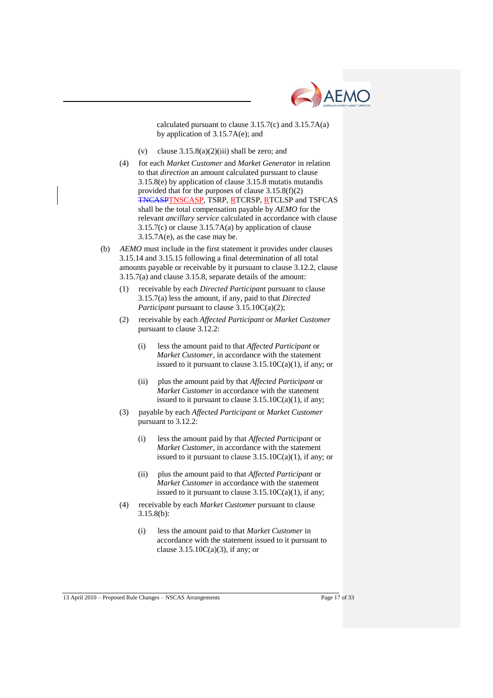

calculated pursuant to clause 3.15.7(c) and 3.15.7A(a) by application of 3.15.7A(e); and

- (v) clause  $3.15.8(a)(2)(iii)$  shall be zero; and
- (4) for each *Market Customer* and *Market Generator* in relation to that *direction* an amount calculated pursuant to clause 3.15.8(e) by application of clause 3.15.8 mutatis mutandis provided that for the purposes of clause 3.15.8(f)(2) TNCASPTNSCASP, TSRP, RTCRSP, RTCLSP and TSFCAS shall be the total compensation payable by *AEMO* for the relevant *ancillary service* calculated in accordance with clause 3.15.7(c) or clause 3.15.7A(a) by application of clause 3.15.7A(e), as the case may be.
- (b) *AEMO* must include in the first statement it provides under clauses 3.15.14 and 3.15.15 following a final determination of all total amounts payable or receivable by it pursuant to clause 3.12.2, clause 3.15.7(a) and clause 3.15.8, separate details of the amount:
	- (1) receivable by each *Directed Participant* pursuant to clause 3.15.7(a) less the amount, if any, paid to that *Directed Participant* pursuant to clause 3.15.10C(a)(2);
	- (2) receivable by each *Affected Participant* or *Market Customer* pursuant to clause 3.12.2:
		- (i) less the amount paid to that *Affected Participant* or *Market Customer*, in accordance with the statement issued to it pursuant to clause  $3.15.10C(a)(1)$ , if any; or
		- (ii) plus the amount paid by that *Affected Participant* or *Market Customer* in accordance with the statement issued to it pursuant to clause  $3.15.10C(a)(1)$ , if any;
	- (3) payable by each *Affected Participant* or *Market Customer* pursuant to 3.12.2:
		- (i) less the amount paid by that *Affected Participant* or *Market Customer*, in accordance with the statement issued to it pursuant to clause 3.15.10C(a)(1), if any; or
		- (ii) plus the amount paid to that *Affected Participant* or *Market Customer* in accordance with the statement issued to it pursuant to clause  $3.15.10C(a)(1)$ , if any;
	- (4) receivable by each *Market Customer* pursuant to clause 3.15.8(b):
		- (i) less the amount paid to that *Market Customer* in accordance with the statement issued to it pursuant to clause  $3.15.10C(a)(3)$ , if any; or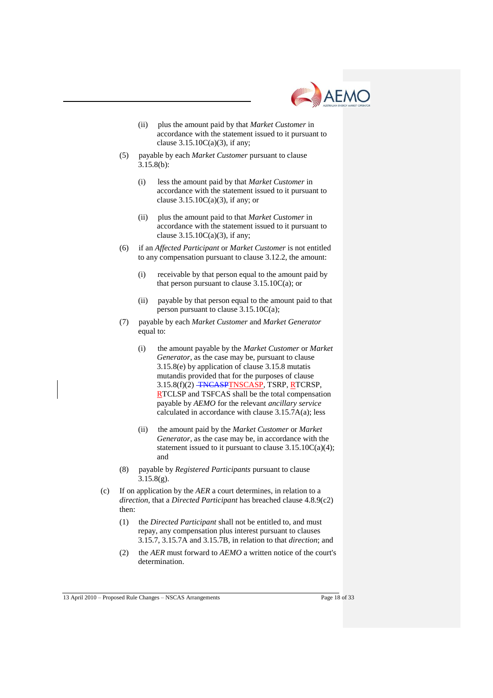

- (ii) plus the amount paid by that *Market Customer* in accordance with the statement issued to it pursuant to clause  $3.15.10C(a)(3)$ , if any;
- (5) payable by each *Market Customer* pursuant to clause 3.15.8(b):
	- (i) less the amount paid by that *Market Customer* in accordance with the statement issued to it pursuant to clause  $3.15.10C(a)(3)$ , if any; or
	- (ii) plus the amount paid to that *Market Customer* in accordance with the statement issued to it pursuant to clause  $3.15.10C(a)(3)$ , if any;
- (6) if an *Affected Participant* or *Market Customer* is not entitled to any compensation pursuant to clause 3.12.2, the amount:
	- (i) receivable by that person equal to the amount paid by that person pursuant to clause  $3.15.10C(a)$ ; or
	- (ii) payable by that person equal to the amount paid to that person pursuant to clause 3.15.10C(a);
- (7) payable by each *Market Customer* and *Market Generator* equal to:
	- (i) the amount payable by the *Market Customer* or *Market Generator*, as the case may be, pursuant to clause 3.15.8(e) by application of clause 3.15.8 mutatis mutandis provided that for the purposes of clause 3.15.8(f)(2) TNCASPTNSCASP, TSRP, RTCRSP, RTCLSP and TSFCAS shall be the total compensation payable by *AEMO* for the relevant *ancillary service* calculated in accordance with clause 3.15.7A(a); less
	- (ii) the amount paid by the *Market Customer* or *Market Generator*, as the case may be, in accordance with the statement issued to it pursuant to clause 3.15.10C(a)(4); and
- (8) payable by *Registered Participants* pursuant to clause  $3.15.8(g)$ .
- (c) If on application by the *AER* a court determines, in relation to a *direction*, that a *Directed Participant* has breached clause 4.8.9(c2) then:
	- (1) the *Directed Participant* shall not be entitled to, and must repay, any compensation plus interest pursuant to clauses 3.15.7, 3.15.7A and 3.15.7B, in relation to that *direction*; and
	- (2) the *AER* must forward to *AEMO* a written notice of the court's determination.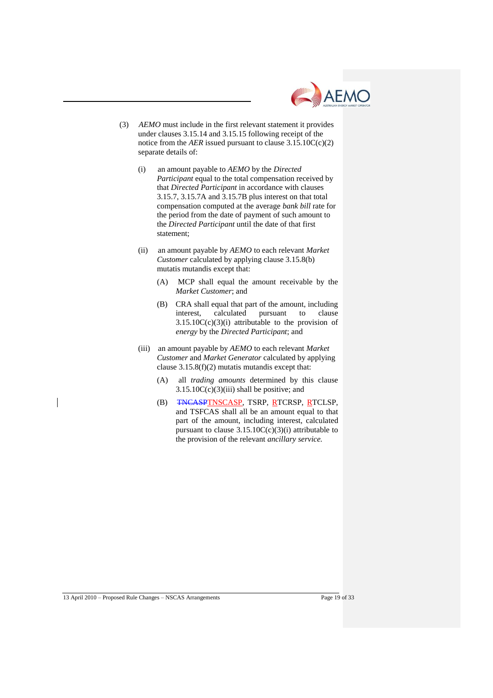

- (3) *AEMO* must include in the first relevant statement it provides under clauses 3.15.14 and 3.15.15 following receipt of the notice from the *AER* issued pursuant to clause  $3.15.10C(c)(2)$ separate details of:
	- (i) an amount payable to *AEMO* by the *Directed Participant* equal to the total compensation received by that *Directed Participant* in accordance with clauses 3.15.7, 3.15.7A and 3.15.7B plus interest on that total compensation computed at the average *bank bill* rate for the period from the date of payment of such amount to the *Directed Participant* until the date of that first statement;
	- (ii) an amount payable by *AEMO* to each relevant *Market Customer* calculated by applying clause 3.15.8(b) mutatis mutandis except that:
		- (A) MCP shall equal the amount receivable by the *Market Customer*; and
		- (B) CRA shall equal that part of the amount, including interest, calculated pursuant to clause  $3.15.10C(c)(3)(i)$  attributable to the provision of *energy* by the *Directed Participant*; and
	- (iii) an amount payable by *AEMO* to each relevant *Market Customer* and *Market Generator* calculated by applying clause 3.15.8(f)(2) mutatis mutandis except that:
		- (A) all *trading amounts* determined by this clause  $3.15.10C(c)(3)(iii)$  shall be positive; and
		- (B) TNCASPTNSCASP, TSRP, RTCRSP, RTCLSP, and TSFCAS shall all be an amount equal to that part of the amount, including interest, calculated pursuant to clause  $3.15.10C(c)(3)(i)$  attributable to the provision of the relevant *ancillary service.*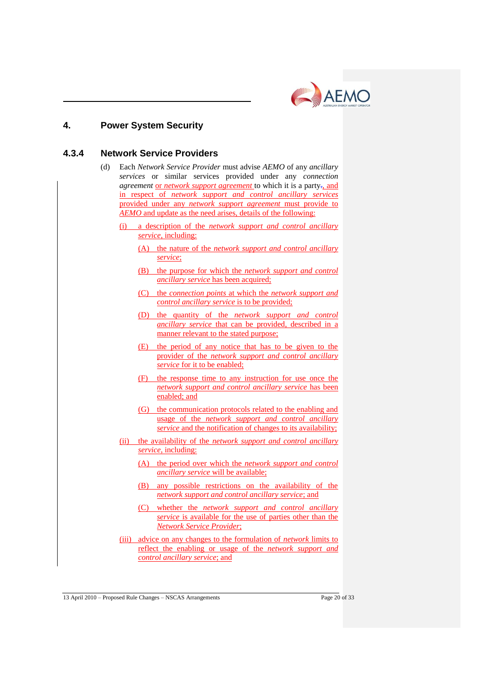

## **4. Power System Security**

## **4.3.4 Network Service Providers**

- (d) Each *Network Service Provider* must advise *AEMO* of any *ancillary services* or similar services provided under any *connection agreement* or *network support agreement* to which it is a party-, and in respect of *network support and control ancillary services* provided under any *network support agreement* must provide to *AEMO* and update as the need arises, details of the following:
	- (i) a description of the *network support and control ancillary service,* including:
		- (A) the nature of the *network support and control ancillary service*;
		- (B) the purpose for which the *network support and control ancillary service* has been acquired;
		- (C) the *connection points* at which the *network support and control ancillary service* is to be provided;
		- (D) the quantity of the *network support and control ancillary service* that can be provided, described in a manner relevant to the stated purpose;
		- (E) the period of any notice that has to be given to the provider of the *network support and control ancillary service* for it to be enabled;
		- (F) the response time to any instruction for use once the *network support and control ancillary service* has been enabled; and
		- (G) the communication protocols related to the enabling and usage of the *network support and control ancillary service* and the notification of changes to its availability;
	- (ii) the availability of the *network support and control ancillary service*, including:
		- (A) the period over which the *network support and control ancillary service* will be available;
		- (B) any possible restrictions on the availability of the *network support and control ancillary service*; and
		- (C) whether the *network support and control ancillary service* is available for the use of parties other than the *Network Service Provider*;
	- (iii) advice on any changes to the formulation of *network* limits to reflect the enabling or usage of the *network support and control ancillary service*; and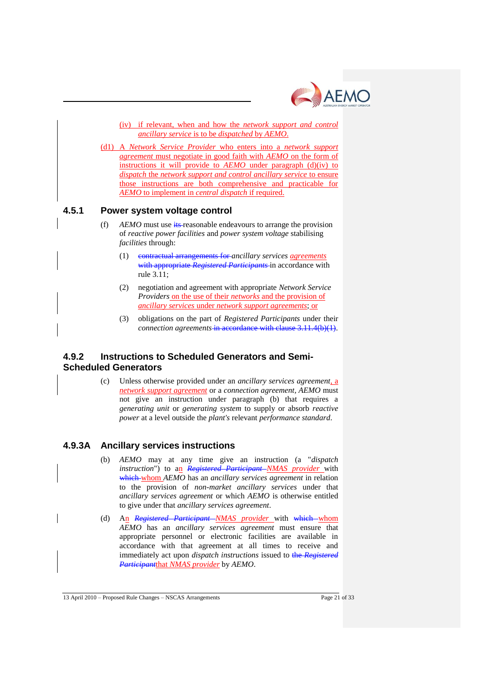

(iv) if relevant, when and how the *network support and control ancillary service* is to be *dispatched* by *AEMO*.

(d1) A *Network Service Provider* who enters into a *network support agreement* must negotiate in good faith with *AEMO* on the form of instructions it will provide to *AEMO* under paragraph (d)(iv) to *dispatch* the *network support and control ancillary service* to ensure those instructions are both comprehensive and practicable for *AEMO* to implement in *central dispatch* if required.

### **4.5.1 Power system voltage control**

- (f) AEMO must use its-reasonable endeavours to arrange the provision of *reactive power facilities* and *power system voltage* stabilising *facilities* through:
	- (1) contractual arrangements for *ancillary services agreements*  with appropriate *Registered Participants* in accordance with rule 3.11;
	- (2) negotiation and agreement with appropriate *Network Service Providers* on the use of their *networks* and the provision of *ancillary services* under *network support agreements*; or
	- (3) obligations on the part of *Registered Participants* under their *connection agreements* in accordance with clause 3.11.4(b)(1).

## **4.9.2 Instructions to Scheduled Generators and Semi-Scheduled Generators**

(c) Unless otherwise provided under an *ancillary services agreement,* a *network support agreement* or a *connection agreement, AEMO* must not give an instruction under paragraph (b) that requires a *generating unit* or *generating system* to supply or absorb *reactive power* at a level outside the *plant's* relevant *performance standard*.

## **4.9.3A Ancillary services instructions**

- (b) *AEMO* may at any time give an instruction (a "*dispatch instruction*") to an *Registered Participant NMAS provider* with which whom *AEMO* has an *ancillary services agreement* in relation to the provision of *non-market ancillary services* under that *ancillary services agreement* or which *AEMO* is otherwise entitled to give under that *ancillary services agreement*.
- (d) An *Registered Participant NMAS provider* with which whom *AEMO* has an *ancillary services agreement* must ensure that appropriate personnel or electronic facilities are available in accordance with that agreement at all times to receive and immediately act upon *dispatch instructions* issued to the *Registered Participant*that *NMAS provider* by *AEMO*.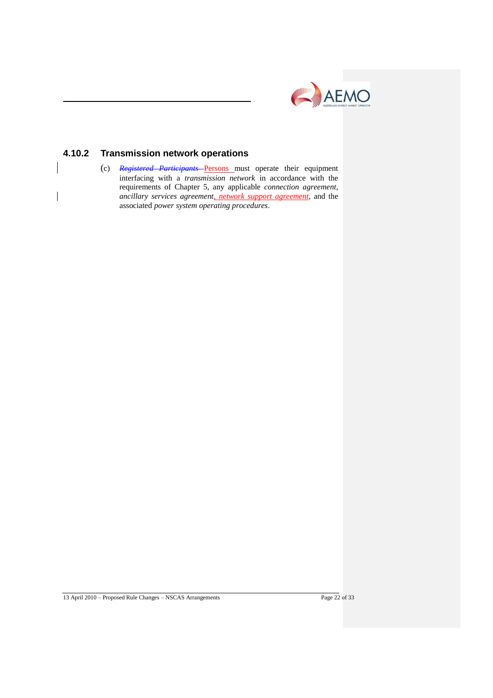

# **4.10.2 Transmission network operations**

(c) *Registered Participants* Persons must operate their equipment interfacing with a *transmission network* in accordance with the requirements of Chapter 5, any applicable *connection agreement*, *ancillary services agreement, network support agreement,* and the associated *power system operating procedures*.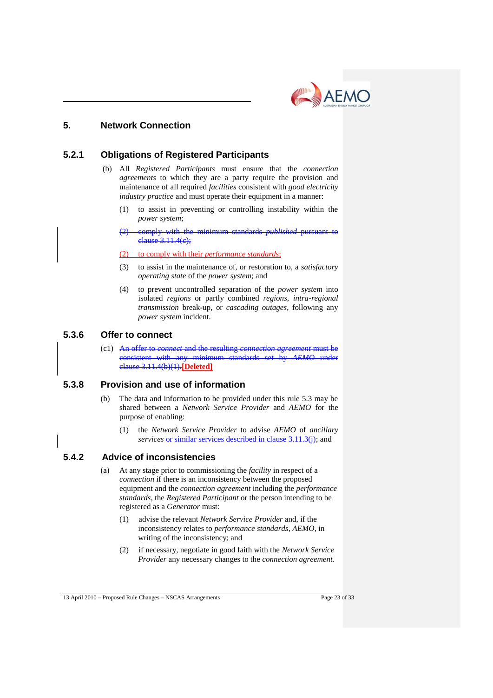

## **5. Network Connection**

## **5.2.1 Obligations of Registered Participants**

- (b) All *Registered Participants* must ensure that the *connection agreements* to which they are a party require the provision and maintenance of all required *facilities* consistent with *good electricity industry practice* and must operate their equipment in a manner:
	- (1) to assist in preventing or controlling instability within the *power system*;
	- (2) comply with the minimum standards *published* pursuant to clause 3.11.4(c);

(2) to comply with their *performance standards*;

- (3) to assist in the maintenance of, or restoration to, a *satisfactory operating state* of the *power system*; and
- (4) to prevent uncontrolled separation of the *power system* into isolated *regions* or partly combined *regions, intra-regional transmission* break-up, or *cascading outages*, following any *power system* incident.

### **5.3.6 Offer to connect**

(c1) An offer to *connect* and the resulting *connection agreement* must be consistent with any minimum standards set by *AEMO* under clause 3.11.4(b)(1).**[Deleted]**

## **5.3.8 Provision and use of information**

- (b) The data and information to be provided under this rule 5.3 may be shared between a *Network Service Provider* and *AEMO* for the purpose of enabling:
	- (1) the *Network Service Provider* to advise *AEMO* of *ancillary services* or similar services described in clause 3.11.3(j); and

## **5.4.2 Advice of inconsistencies**

- (a) At any stage prior to commissioning the *facility* in respect of a *connection* if there is an inconsistency between the proposed equipment and the *connection agreement* including the *performance standards*, the *Registered Participant* or the person intending to be registered as a *Generator* must:
	- (1) advise the relevant *Network Service Provider* and, if the inconsistency relates to *performance standards*, *AEMO*, in writing of the inconsistency; and
	- (2) if necessary, negotiate in good faith with the *Network Service Provider* any necessary changes to the *connection agreement*.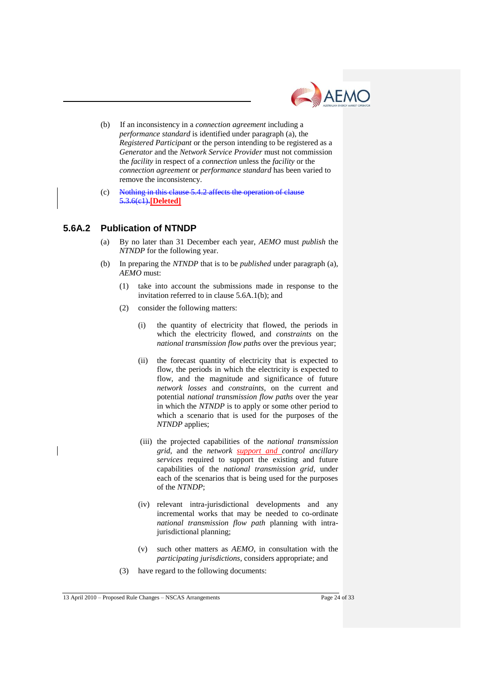

- (b) If an inconsistency in a *connection agreement* including a *performance standard* is identified under paragraph (a), the *Registered Participant* or the person intending to be registered as a *Generator* and the *Network Service Provider* must not commission the *facility* in respect of a *connection* unless the *facility* or the *connection agreement* or *performance standard* has been varied to remove the inconsistency.
- (c) Nothing in this clause 5.4.2 affects the operation of clause 5.3.6(c1).**[Deleted]**

## **5.6A.2 Publication of NTNDP**

- (a) By no later than 31 December each year, *AEMO* must *publish* the *NTNDP* for the following year.
- (b) In preparing the *NTNDP* that is to be *published* under paragraph (a), *AEMO* must:
	- (1) take into account the submissions made in response to the invitation referred to in clause 5.6A.1(b); and
	- (2) consider the following matters:
		- (i) the quantity of electricity that flowed, the periods in which the electricity flowed, and *constraints* on the *national transmission flow paths* over the previous year;
		- (ii) the forecast quantity of electricity that is expected to flow, the periods in which the electricity is expected to flow, and the magnitude and significance of future *network losses* and *constraints*, on the current and potential *national transmission flow paths* over the year in which the *NTNDP* is to apply or some other period to which a scenario that is used for the purposes of the *NTNDP* applies;
		- (iii) the projected capabilities of the *national transmission grid*, and the *network support and control ancillary services* required to support the existing and future capabilities of the *national transmission grid*, under each of the scenarios that is being used for the purposes of the *NTNDP*;
		- (iv) relevant intra-jurisdictional developments and any incremental works that may be needed to co-ordinate *national transmission flow path* planning with intrajurisdictional planning;
		- (v) such other matters as *AEMO*, in consultation with the *participating jurisdictions*, considers appropriate; and
	- (3) have regard to the following documents: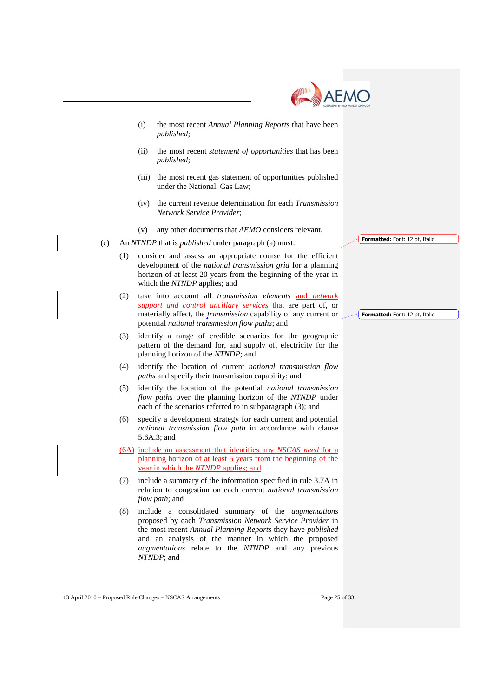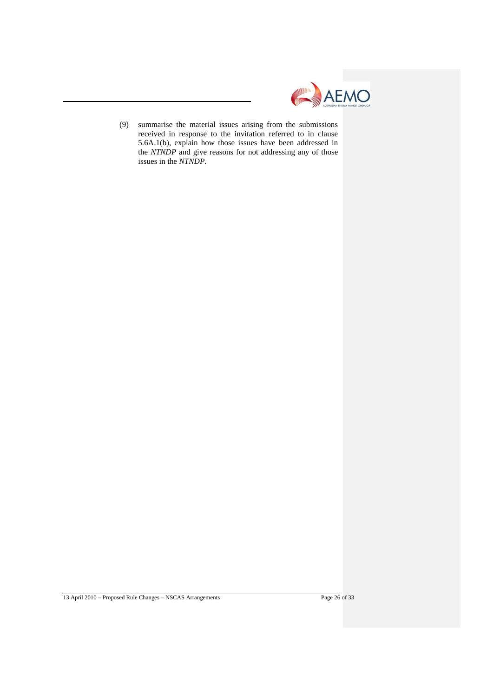

(9) summarise the material issues arising from the submissions received in response to the invitation referred to in clause 5.6A.1(b), explain how those issues have been addressed in the *NTNDP* and give reasons for not addressing any of those issues in the *NTNDP*.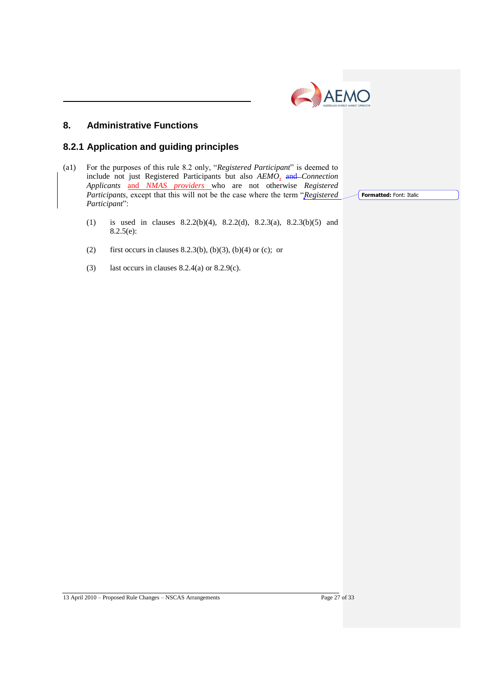

# **8. Administrative Functions**

## **8.2.1 Application and guiding principles**

- (a1) For the purposes of this rule 8.2 only, "*Registered Participant*" is deemed to include not just Registered Participants but also *AEMO,* and *Connection Applicants* and *NMAS providers* who are not otherwise *Registered Participants*, except that this will not be the case where the term "*Registered Participant*":
	- (1) is used in clauses 8.2.2(b)(4), 8.2.2(d), 8.2.3(a), 8.2.3(b)(5) and 8.2.5(e):
	- (2) first occurs in clauses 8.2.3(b), (b)(3), (b)(4) or (c); or
	- (3) last occurs in clauses  $8.2.4(a)$  or  $8.2.9(c)$ .

13 April 2010 – Proposed Rule Changes – NSCAS Arrangements Page 27 of 33

**Formatted:** Font: Italic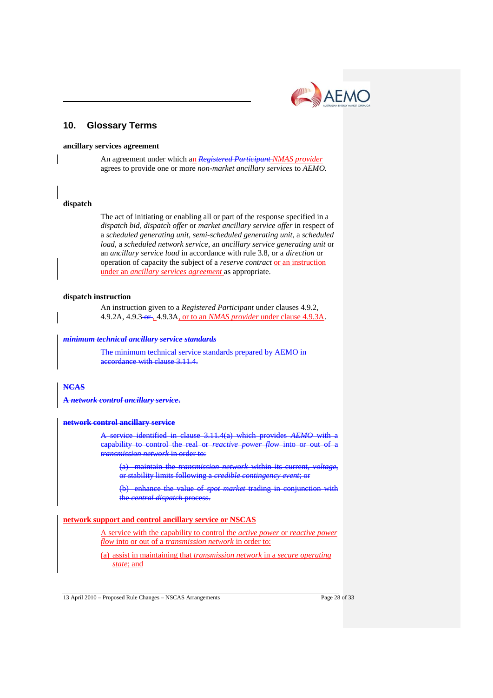# **10. Glossary Terms**

#### **ancillary services agreement**

An agreement under which an *Registered Participant NMAS provider* agrees to provide one or more *non-market ancillary services* to *AEMO.*

#### **dispatch**

The act of initiating or enabling all or part of the response specified in a *dispatch bid*, *dispatch offer* or *market ancillary service offer* in respect of a *scheduled generating unit, semi-scheduled generating unit,* a *scheduled load,* a *scheduled network service*, an *ancillary service generating unit* or an *ancillary service load* in accordance with rule 3.8, or a *direction* or operation of capacity the subject of a *reserve contract* or an instruction under an *ancillary services agreement* as appropriate.

#### **dispatch instruction**

An instruction given to a *Registered Participant* under clauses 4.9.2, 4.9.2A, 4.9.3 or , 4.9.3A, or to an *NMAS provider* under clause 4.9.3A.

#### *minimum technical ancillary service standards*

The minimum technical service standards prepared by AEMO in accordance with clause 3.11.4.

## **NCAS**

**A** *network control ancillary service***.**

#### **network control ancillary service**

A service identified in clause 3.11.4(a) which provides *AEMO* with a capability to control the real or *reactive power flow* into or out of *transmission network* in order to:

(a) maintain the *transmission network* within its current, *voltage*, or stability limits following a *credible contingency event*; or

(b) enhance the value of *spot market* trading in conjunction with the *central dispatch* process.

#### **network support and control ancillary service or NSCAS**

A service with the capability to control the *active power* or *reactive power flow* into or out of a *transmission network* in order to:

(a) assist in maintaining that *transmission network* in a *secure operating state*; and

AEMO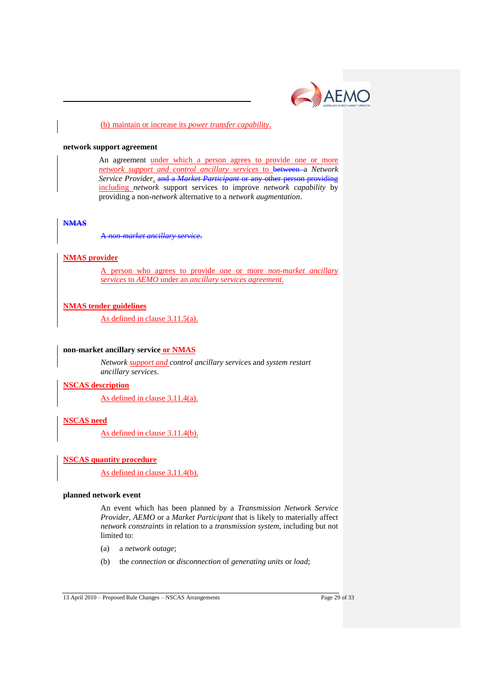

#### (b) maintain or increase its *power transfer capability*.

#### **network support agreement**

An agreement under which a person agrees to provide one or more *network support and control ancillary services* to between a *Network Service Provider,* and a *Market Participant* or any other person providing including *network* support services to improve *network capability* by providing a non-*network* alternative to a *network augmentation*.

#### **NMAS**

A *non-market ancillary service*.

#### **NMAS provider**

A person who agrees to provide one or more *non-market ancillary services* to *AEMO* under an *ancillary services agreement*.

### **NMAS tender guidelines**

As defined in clause 3.11.5(a).

#### **non-market ancillary service or NMAS**

*Network support and control ancillary services* and *system restart ancillary services*.

#### **NSCAS description**

As defined in clause 3.11.4(a).

### **NSCAS need**

As defined in clause 3.11.4(b).

#### **NSCAS quantity procedure**

As defined in clause 3.11.4(b).

#### **planned network event**

An event which has been planned by a *Transmission Network Service Provider*, *AEMO* or a *Market Participant* that is likely to materially affect *network constraints* in relation to a *transmission system*, including but not limited to:

- (a) a *network outage*;
- (b) the *connection* or *disconnection* of *generating units* or *load*;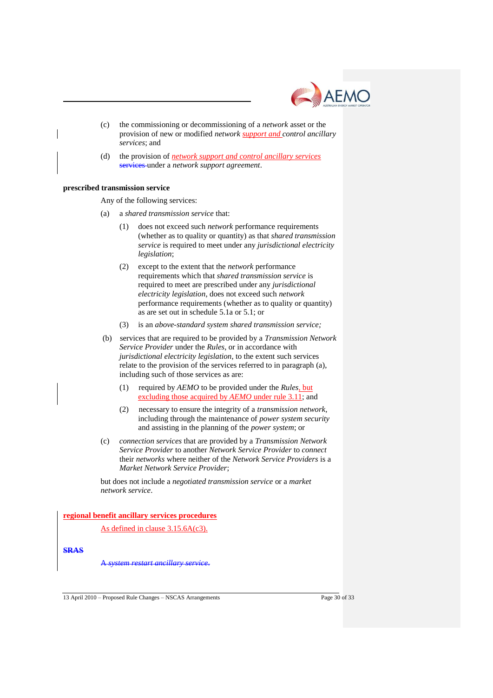

- (c) the commissioning or decommissioning of a *network* asset or the provision of new or modified *network support and control ancillary services*; and
- (d) the provision of *network support and control ancillary services*  services under a *network support agreement*.

#### **prescribed transmission service**

Any of the following services:

- (a) a *shared transmission service* that:
	- (1) does not exceed such *network* performance requirements (whether as to quality or quantity) as that *shared transmission service* is required to meet under any *jurisdictional electricity legislation*;
	- (2) except to the extent that the *network* performance requirements which that *shared transmission service* is required to meet are prescribed under any *jurisdictional electricity legislation*, does not exceed such *network* performance requirements (whether as to quality or quantity) as are set out in schedule 5.1a or 5.1; or
	- (3) is an *above-standard system shared transmission service;*
- (b) services that are required to be provided by a *Transmission Network Service Provider* under the *Rules*, or in accordance with *jurisdictional electricity legislation*, to the extent such services relate to the provision of the services referred to in paragraph (a), including such of those services as are:
	- (1) required by *AEMO* to be provided under the *Rules*, but excluding those acquired by *AEMO* under rule 3.11; and
	- (2) necessary to ensure the integrity of a *transmission network*, including through the maintenance of *power system security* and assisting in the planning of the *power system*; or
- (c) *connection services* that are provided by a *Transmission Network Service Provider* to another *Network Service Provider* to *connect* their *networks* where neither of the *Network Service Providers* is a *Market Network Service Provider*;

but does not include a *negotiated transmission service* or a *market network service*.

**regional benefit ancillary services procedures** 

As defined in clause 3.15.6A(c3).

**SRAS**

A *system restart ancillary service*.

13 April 2010 – Proposed Rule Changes – NSCAS Arrangements Page 30 of 33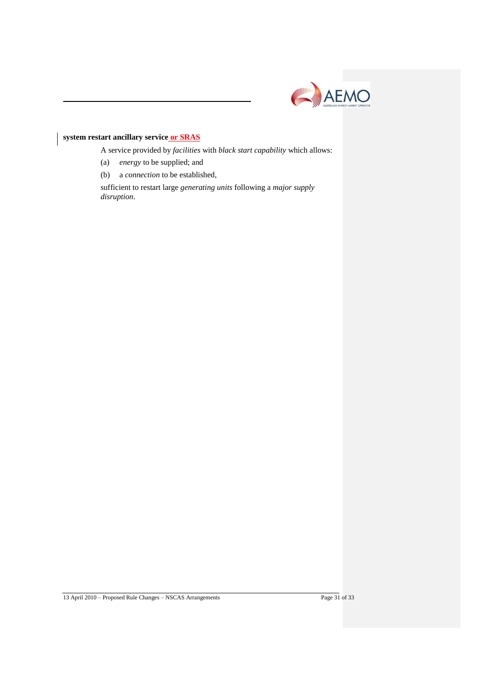

### **system restart ancillary service or SRAS**

A service provided by *facilities* with *black start capability* which allows:

- (a) *energy* to be supplied; and
- (b) a *connection* to be established,

sufficient to restart large *generating units* following a *major supply disruption*.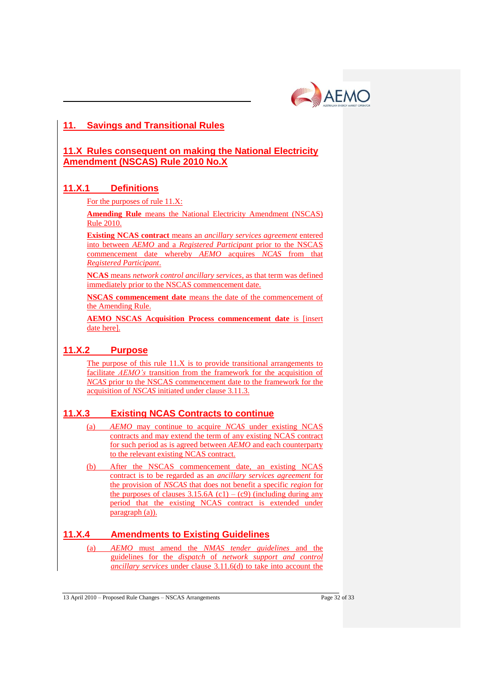

# **11. Savings and Transitional Rules**

## **11.X Rules consequent on making the National Electricity Amendment (NSCAS) Rule 2010 No.X**

## **11.X.1 Definitions**

For the purposes of rule 11.X:

**Amending Rule** means the National Electricity Amendment (NSCAS) Rule 2010.

**Existing NCAS contract** means an *ancillary services agreement* entered into between *AEMO* and a *Registered Participant* prior to the NSCAS commencement date whereby *AEMO* acquires *NCAS* from that *Registered Participant*.

**NCAS** means *network control ancillary services*, as that term was defined immediately prior to the NSCAS commencement date.

**NSCAS commencement date** means the date of the commencement of the Amending Rule.

**AEMO NSCAS Acquisition Process commencement date** is [insert date here].

## **11.X.2 Purpose**

The purpose of this rule 11.X is to provide transitional arrangements to facilitate *AEMO's* transition from the framework for the acquisition of *NCAS* prior to the NSCAS commencement date to the framework for the acquisition of *NSCAS* initiated under clause 3.11.3.

## **11.X.3 Existing NCAS Contracts to continue**

- (a) *AEMO* may continue to acquire *NCAS* under existing NCAS contracts and may extend the term of any existing NCAS contract for such period as is agreed between *AEMO* and each counterparty to the relevant existing NCAS contract.
- (b) After the NSCAS commencement date, an existing NCAS contract is to be regarded as an *ancillary services agreement* for the provision of *NSCAS* that does not benefit a specific *region* for the purposes of clauses  $3.15.6A$  (c1) – (c9) (including during any period that the existing NCAS contract is extended under paragraph (a)).

# **11.X.4 Amendments to Existing Guidelines**

(a) *AEMO* must amend the *NMAS tender guidelines* and the guidelines for the *dispatch* of *network support and control ancillary services* under clause 3.11.6(d) to take into account the